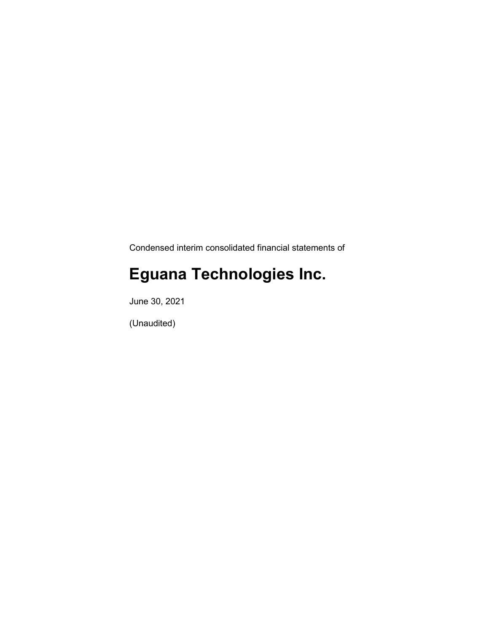Condensed interim consolidated financial statements of

# **Eguana Technologies Inc.**

June 30, 2021

(Unaudited)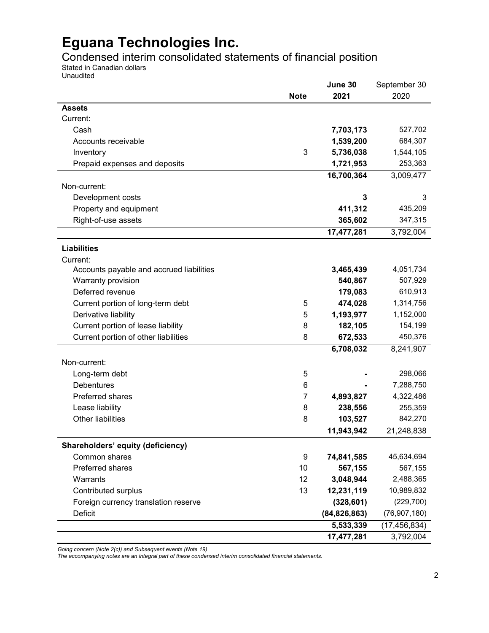Condensed interim consolidated statements of financial position

Stated in Canadian dollars Unaudited

|                                          |             | June 30        | September 30   |
|------------------------------------------|-------------|----------------|----------------|
|                                          | <b>Note</b> | 2021           | 2020           |
| <b>Assets</b>                            |             |                |                |
| Current:                                 |             |                |                |
| Cash                                     |             | 7,703,173      | 527,702        |
| Accounts receivable                      |             | 1,539,200      | 684,307        |
| Inventory                                | 3           | 5,736,038      | 1,544,105      |
| Prepaid expenses and deposits            |             | 1,721,953      | 253,363        |
|                                          |             | 16,700,364     | 3,009,477      |
| Non-current:                             |             |                |                |
| Development costs                        |             | 3              | 3              |
| Property and equipment                   |             | 411,312        | 435,209        |
| Right-of-use assets                      |             | 365,602        | 347,315        |
|                                          |             | 17,477,281     | 3,792,004      |
| <b>Liabilities</b>                       |             |                |                |
| Current:                                 |             |                |                |
| Accounts payable and accrued liabilities |             | 3,465,439      | 4,051,734      |
| Warranty provision                       |             | 540,867        | 507,929        |
| Deferred revenue                         |             | 179,083        | 610,913        |
| Current portion of long-term debt        | 5           | 474,028        | 1,314,756      |
| Derivative liability                     | 5           | 1,193,977      | 1,152,000      |
| Current portion of lease liability       | 8           | 182,105        | 154,199        |
| Current portion of other liabilities     | 8           | 672,533        | 450,376        |
|                                          |             | 6,708,032      | 8,241,907      |
| Non-current:                             |             |                |                |
| Long-term debt                           | 5           |                | 298,066        |
| <b>Debentures</b>                        | 6           |                | 7,288,750      |
| <b>Preferred shares</b>                  | 7           | 4,893,827      | 4,322,486      |
| Lease liability                          | 8           | 238,556        | 255,359        |
| <b>Other liabilities</b>                 | 8           | 103,527        | 842,270        |
|                                          |             | 11,943,942     | 21,248,838     |
| Shareholders' equity (deficiency)        |             |                |                |
| Common shares                            | 9           | 74,841,585     | 45,634,694     |
| Preferred shares                         | 10          | 567,155        | 567,155        |
| Warrants                                 | 12          | 3,048,944      | 2,488,365      |
| Contributed surplus                      | 13          | 12,231,119     | 10,989,832     |
| Foreign currency translation reserve     |             | (328, 601)     | (229, 700)     |
| Deficit                                  |             | (84, 826, 863) | (76, 907, 180) |
|                                          |             | 5,533,339      | (17, 456, 834) |
|                                          |             | 17,477,281     | 3,792,004      |

*Going concern (Note 2(c)) and Subsequent events (Note 19)*

*The accompanying notes are an integral part of these condensed interim consolidated financial statements.*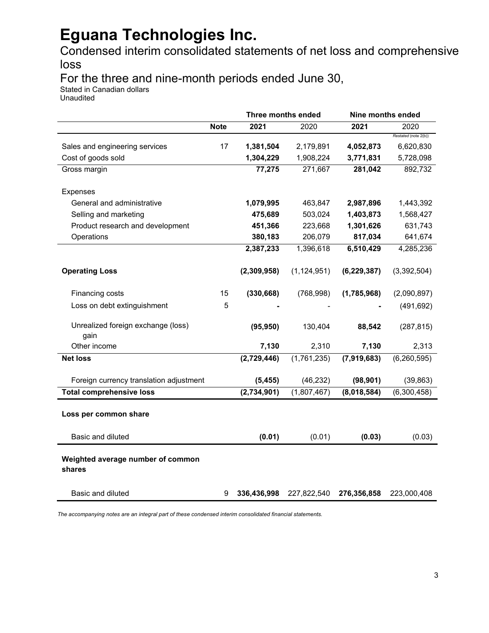Condensed interim consolidated statements of net loss and comprehensive loss

For the three and nine-month periods ended June 30,

Stated in Canadian dollars

Unaudited

|                                             |             | <b>Three months ended</b> |               | Nine months ended |                      |
|---------------------------------------------|-------------|---------------------------|---------------|-------------------|----------------------|
|                                             | <b>Note</b> | 2021                      | 2020          | 2021              | 2020                 |
|                                             |             |                           |               |                   | Restated (note 2(b)) |
| Sales and engineering services              | 17          | 1,381,504                 | 2,179,891     | 4,052,873         | 6,620,830            |
| Cost of goods sold                          |             | 1,304,229                 | 1,908,224     | 3,771,831         | 5,728,098            |
| Gross margin                                |             | 77,275                    | 271,667       | 281,042           | 892,732              |
|                                             |             |                           |               |                   |                      |
| <b>Expenses</b>                             |             |                           |               |                   |                      |
| General and administrative                  |             | 1,079,995                 | 463,847       | 2,987,896         | 1,443,392            |
| Selling and marketing                       |             | 475,689                   | 503,024       | 1,403,873         | 1,568,427            |
| Product research and development            |             | 451,366                   | 223,668       | 1,301,626         | 631,743              |
| Operations                                  |             | 380,183                   | 206,079       | 817,034           | 641,674              |
|                                             |             | 2,387,233                 | 1,396,618     | 6,510,429         | 4,285,236            |
| <b>Operating Loss</b>                       |             |                           |               |                   |                      |
|                                             |             | (2,309,958)               | (1, 124, 951) | (6, 229, 387)     | (3,392,504)          |
| Financing costs                             | 15          | (330, 668)                | (768, 998)    | (1,785,968)       | (2,090,897)          |
| Loss on debt extinguishment                 | 5           |                           |               |                   | (491, 692)           |
| Unrealized foreign exchange (loss)          |             | (95, 950)                 | 130,404       | 88,542            | (287, 815)           |
| gain                                        |             |                           |               |                   |                      |
| Other income                                |             | 7,130                     | 2,310         | 7,130             | 2,313                |
| <b>Net loss</b>                             |             | (2,729,446)               | (1,761,235)   | (7,919,683)       | (6, 260, 595)        |
| Foreign currency translation adjustment     |             | (5, 455)                  | (46, 232)     | (98, 901)         | (39, 863)            |
| <b>Total comprehensive loss</b>             |             | (2,734,901)               | (1,807,467)   | (8,018,584)       | (6,300,458)          |
|                                             |             |                           |               |                   |                      |
| Loss per common share                       |             |                           |               |                   |                      |
| Basic and diluted                           |             | (0.01)                    | (0.01)        | (0.03)            | (0.03)               |
| Weighted average number of common<br>shares |             |                           |               |                   |                      |
| Basic and diluted                           | 9           | 336,436,998               | 227,822,540   | 276,356,858       | 223,000,408          |

*The accompanying notes are an integral part of these condensed interim consolidated financial statements.*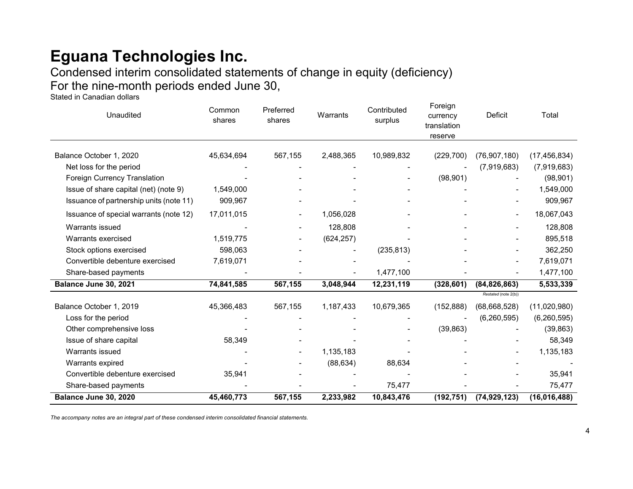Condensed interim consolidated statements of change in equity (deficiency) For the nine-month periods ended June 30,

Stated in Canadian dollars

| Unaudited                               | Common<br>shares | Preferred<br>shares | Warrants   | Contributed<br>surplus | Foreign<br>currency<br>translation<br>reserve | Deficit                  | Total          |
|-----------------------------------------|------------------|---------------------|------------|------------------------|-----------------------------------------------|--------------------------|----------------|
|                                         |                  |                     |            |                        |                                               |                          |                |
| Balance October 1, 2020                 | 45,634,694       | 567,155             | 2,488,365  | 10,989,832             | (229, 700)                                    | (76, 907, 180)           | (17, 456, 834) |
| Net loss for the period                 |                  |                     |            |                        |                                               | (7,919,683)              | (7,919,683)    |
| Foreign Currency Translation            |                  |                     |            |                        | (98, 901)                                     |                          | (98, 901)      |
| Issue of share capital (net) (note 9)   | 1,549,000        |                     |            |                        |                                               |                          | 1,549,000      |
| Issuance of partnership units (note 11) | 909,967          |                     |            |                        |                                               |                          | 909,967        |
| Issuance of special warrants (note 12)  | 17,011,015       |                     | 1,056,028  |                        |                                               |                          | 18,067,043     |
| Warrants issued                         |                  |                     | 128,808    |                        |                                               |                          | 128,808        |
| Warrants exercised                      | 1,519,775        |                     | (624, 257) |                        |                                               |                          | 895,518        |
| Stock options exercised                 | 598,063          |                     |            | (235, 813)             |                                               |                          | 362,250        |
| Convertible debenture exercised         | 7,619,071        |                     |            |                        |                                               | $\overline{\phantom{a}}$ | 7,619,071      |
| Share-based payments                    |                  |                     |            | 1,477,100              |                                               |                          | 1,477,100      |
| Balance June 30, 2021                   | 74,841,585       | 567,155             | 3,048,944  | 12,231,119             | (328, 601)                                    | (84, 826, 863)           | 5,533,339      |
|                                         |                  |                     |            |                        |                                               | Restated (note 2(b))     |                |
| Balance October 1, 2019                 | 45,366,483       | 567,155             | 1,187,433  | 10,679,365             | (152, 888)                                    | (68, 668, 528)           | (11,020,980)   |
| Loss for the period                     |                  |                     |            |                        |                                               | (6, 260, 595)            | (6, 260, 595)  |
| Other comprehensive loss                |                  |                     |            |                        | (39, 863)                                     |                          | (39, 863)      |
| Issue of share capital                  | 58,349           |                     |            |                        |                                               |                          | 58,349         |
| Warrants issued                         |                  |                     | 1,135,183  |                        |                                               |                          | 1,135,183      |
| Warrants expired                        |                  |                     | (88, 634)  | 88,634                 |                                               |                          |                |
| Convertible debenture exercised         | 35,941           |                     |            |                        |                                               |                          | 35,941         |
| Share-based payments                    |                  |                     |            | 75,477                 |                                               |                          | 75,477         |
| Balance June 30, 2020                   | 45,460,773       | 567,155             | 2,233,982  | 10,843,476             | (192, 751)                                    | (74, 929, 123)           | (16,016,488)   |

*The accompany notes are an integral part of these condensed interim consolidated financial statements.*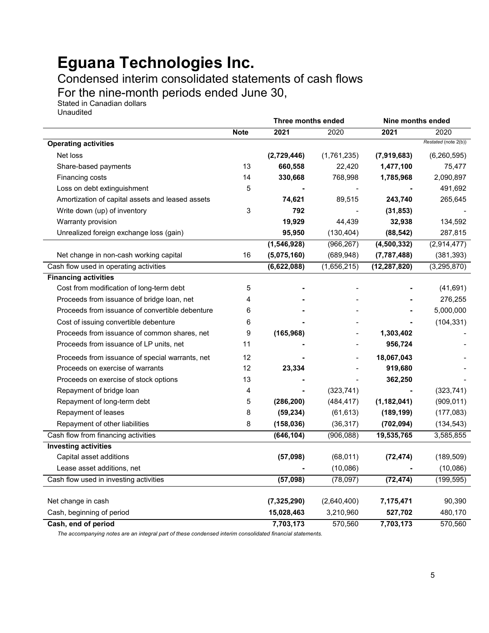Condensed interim consolidated statements of cash flows

For the nine-month periods ended June 30,

Stated in Canadian dollars Unaudited

|                                                  | Three months ended |               |             | Nine months ended |                      |
|--------------------------------------------------|--------------------|---------------|-------------|-------------------|----------------------|
|                                                  | <b>Note</b>        | 2021          | 2020        | 2021              | 2020                 |
| <b>Operating activities</b>                      |                    |               |             |                   | Restated (note 2(b)) |
| Net loss                                         |                    | (2,729,446)   | (1,761,235) | (7,919,683)       | (6,260,595)          |
| Share-based payments                             | 13                 | 660,558       | 22,420      | 1,477,100         | 75,477               |
| Financing costs                                  | 14                 | 330,668       | 768,998     | 1,785,968         | 2,090,897            |
| Loss on debt extinguishment                      | 5                  |               |             |                   | 491,692              |
| Amortization of capital assets and leased assets |                    | 74,621        | 89,515      | 243,740           | 265,645              |
| Write down (up) of inventory                     | 3                  | 792           |             | (31, 853)         |                      |
| Warranty provision                               |                    | 19,929        | 44,439      | 32,938            | 134,592              |
| Unrealized foreign exchange loss (gain)          |                    | 95,950        | (130, 404)  | (88, 542)         | 287,815              |
|                                                  |                    | (1, 546, 928) | (966, 267)  | (4, 500, 332)     | (2,914,477)          |
| Net change in non-cash working capital           | 16                 | (5,075,160)   | (689, 948)  | (7, 787, 488)     | (381, 393)           |
| Cash flow used in operating activities           |                    | (6,622,088)   | (1,656,215) | (12, 287, 820)    | (3, 295, 870)        |
| <b>Financing activities</b>                      |                    |               |             |                   |                      |
| Cost from modification of long-term debt         | 5                  |               |             |                   | (41, 691)            |
| Proceeds from issuance of bridge loan, net       | 4                  |               |             |                   | 276,255              |
| Proceeds from issuance of convertible debenture  | 6                  |               |             |                   | 5,000,000            |
| Cost of issuing convertible debenture            | 6                  |               |             |                   | (104, 331)           |
| Proceeds from issuance of common shares, net     | 9                  | (165, 968)    |             | 1,303,402         |                      |
| Proceeds from issuance of LP units, net          | 11                 |               |             | 956,724           |                      |
| Proceeds from issuance of special warrants, net  | 12                 |               |             | 18,067,043        |                      |
| Proceeds on exercise of warrants                 | 12                 | 23,334        |             | 919,680           |                      |
| Proceeds on exercise of stock options            | 13                 |               |             | 362,250           |                      |
| Repayment of bridge loan                         | 4                  |               | (323, 741)  |                   | (323, 741)           |
| Repayment of long-term debt                      | 5                  | (286, 200)    | (484, 417)  | (1, 182, 041)     | (909, 011)           |
| Repayment of leases                              | 8                  | (59, 234)     | (61, 613)   | (189, 199)        | (177, 083)           |
| Repayment of other liabilities                   | 8                  | (158, 036)    | (36, 317)   | (702, 094)        | (134, 543)           |
| Cash flow from financing activities              |                    | (646, 104)    | (906, 088)  | 19,535,765        | 3,585,855            |
| <b>Investing activities</b>                      |                    |               |             |                   |                      |
| Capital asset additions                          |                    | (57,098)      | (68, 011)   | (72, 474)         | (189, 509)           |
| Lease asset additions, net                       |                    |               | (10,086)    |                   | (10,086)             |
| Cash flow used in investing activities           |                    | (57,098)      | (78,097)    | (72, 474)         | (199, 595)           |
| Net change in cash                               |                    | (7, 325, 290) | (2,640,400) | 7,175,471         | 90,390               |
| Cash, beginning of period                        |                    | 15,028,463    | 3,210,960   | 527,702           | 480,170              |
| Cash, end of period                              |                    | 7,703,173     | 570,560     | 7,703,173         | 570,560              |

*The accompanying notes are an integral part of these condensed interim consolidated financial statements.*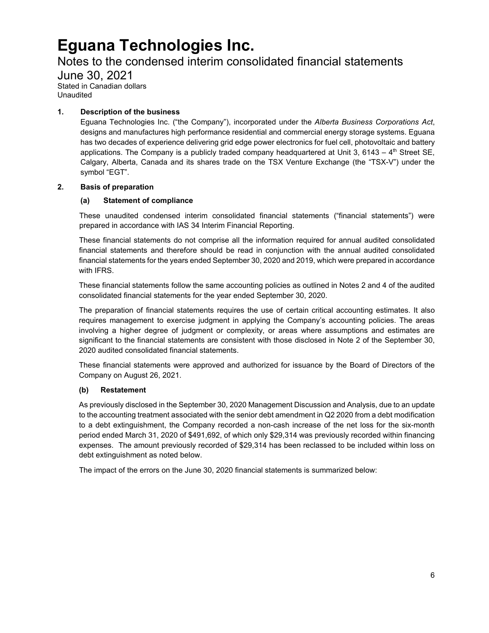### Notes to the condensed interim consolidated financial statements

June 30, 2021 Stated in Canadian dollars Unaudited

### **1. Description of the business**

Eguana Technologies Inc. ("the Company"), incorporated under the *Alberta Business Corporations Act*, designs and manufactures high performance residential and commercial energy storage systems. Eguana has two decades of experience delivering grid edge power electronics for fuel cell, photovoltaic and battery applications. The Company is a publicly traded company headquartered at Unit 3, 6143 –  $4<sup>th</sup>$  Street SE, Calgary, Alberta, Canada and its shares trade on the TSX Venture Exchange (the "TSX-V") under the symbol "EGT".

### **2. Basis of preparation**

### **(a) Statement of compliance**

These unaudited condensed interim consolidated financial statements ("financial statements") were prepared in accordance with IAS 34 Interim Financial Reporting.

These financial statements do not comprise all the information required for annual audited consolidated financial statements and therefore should be read in conjunction with the annual audited consolidated financial statements for the years ended September 30, 2020 and 2019, which were prepared in accordance with IFRS.

These financial statements follow the same accounting policies as outlined in Notes 2 and 4 of the audited consolidated financial statements for the year ended September 30, 2020.

The preparation of financial statements requires the use of certain critical accounting estimates. It also requires management to exercise judgment in applying the Company's accounting policies. The areas involving a higher degree of judgment or complexity, or areas where assumptions and estimates are significant to the financial statements are consistent with those disclosed in Note 2 of the September 30, 2020 audited consolidated financial statements.

These financial statements were approved and authorized for issuance by the Board of Directors of the Company on August 26, 2021.

### **(b) Restatement**

As previously disclosed in the September 30, 2020 Management Discussion and Analysis, due to an update to the accounting treatment associated with the senior debt amendment in Q2 2020 from a debt modification to a debt extinguishment, the Company recorded a non-cash increase of the net loss for the six-month period ended March 31, 2020 of \$491,692, of which only \$29,314 was previously recorded within financing expenses. The amount previously recorded of \$29,314 has been reclassed to be included within loss on debt extinguishment as noted below.

The impact of the errors on the June 30, 2020 financial statements is summarized below: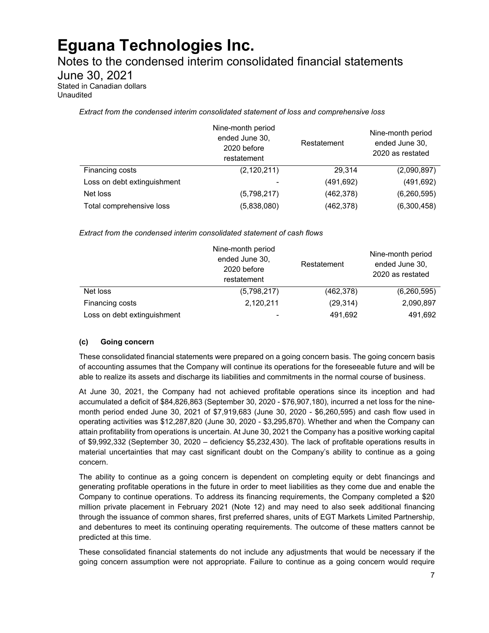Notes to the condensed interim consolidated financial statements

June 30, 2021

Stated in Canadian dollars Unaudited

*Extract from the condensed interim consolidated statement of loss and comprehensive loss* 

|                             | Nine-month period<br>ended June 30,<br>2020 before<br>restatement | Restatement | Nine-month period<br>ended June 30,<br>2020 as restated |
|-----------------------------|-------------------------------------------------------------------|-------------|---------------------------------------------------------|
| Financing costs             | (2, 120, 211)                                                     | 29.314      | (2,090,897)                                             |
| Loss on debt extinguishment |                                                                   | (491, 692)  | (491, 692)                                              |
| Net loss                    | (5,798,217)                                                       | (462, 378)  | (6, 260, 595)                                           |
| Total comprehensive loss    | (5,838,080)                                                       | (462, 378)  | (6,300,458)                                             |

*Extract from the condensed interim consolidated statement of cash flows*

|                             | Nine-month period<br>ended June 30,<br>2020 before<br>restatement | Restatement | Nine-month period<br>ended June 30,<br>2020 as restated |
|-----------------------------|-------------------------------------------------------------------|-------------|---------------------------------------------------------|
| Net loss                    | (5,798,217)                                                       | (462, 378)  | (6,260,595)                                             |
| Financing costs             | 2,120,211                                                         | (29, 314)   | 2,090,897                                               |
| Loss on debt extinguishment | -                                                                 | 491,692     | 491,692                                                 |

### **(c) Going concern**

These consolidated financial statements were prepared on a going concern basis. The going concern basis of accounting assumes that the Company will continue its operations for the foreseeable future and will be able to realize its assets and discharge its liabilities and commitments in the normal course of business.

At June 30, 2021, the Company had not achieved profitable operations since its inception and had accumulated a deficit of \$84,826,863 (September 30, 2020 - \$76,907,180), incurred a net loss for the ninemonth period ended June 30, 2021 of \$7,919,683 (June 30, 2020 - \$6,260,595) and cash flow used in operating activities was \$12,287,820 (June 30, 2020 - \$3,295,870). Whether and when the Company can attain profitability from operations is uncertain. At June 30, 2021 the Company has a positive working capital of \$9,992,332 (September 30, 2020 – deficiency \$5,232,430). The lack of profitable operations results in material uncertainties that may cast significant doubt on the Company's ability to continue as a going concern.

The ability to continue as a going concern is dependent on completing equity or debt financings and generating profitable operations in the future in order to meet liabilities as they come due and enable the Company to continue operations. To address its financing requirements, the Company completed a \$20 million private placement in February 2021 (Note 12) and may need to also seek additional financing through the issuance of common shares, first preferred shares, units of EGT Markets Limited Partnership, and debentures to meet its continuing operating requirements. The outcome of these matters cannot be predicted at this time.

These consolidated financial statements do not include any adjustments that would be necessary if the going concern assumption were not appropriate. Failure to continue as a going concern would require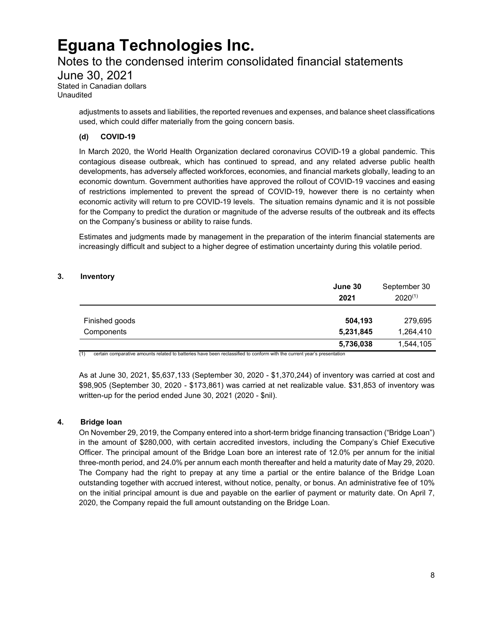### Notes to the condensed interim consolidated financial statements

June 30, 2021 Stated in Canadian dollars

Unaudited

adjustments to assets and liabilities, the reported revenues and expenses, and balance sheet classifications used, which could differ materially from the going concern basis.

### **(d) COVID-19**

In March 2020, the World Health Organization declared coronavirus COVID-19 a global pandemic. This contagious disease outbreak, which has continued to spread, and any related adverse public health developments, has adversely affected workforces, economies, and financial markets globally, leading to an economic downturn. Government authorities have approved the rollout of COVID-19 vaccines and easing of restrictions implemented to prevent the spread of COVID-19, however there is no certainty when economic activity will return to pre COVID-19 levels. The situation remains dynamic and it is not possible for the Company to predict the duration or magnitude of the adverse results of the outbreak and its effects on the Company's business or ability to raise funds.

Estimates and judgments made by management in the preparation of the interim financial statements are increasingly difficult and subject to a higher degree of estimation uncertainty during this volatile period.

### **3. Inventory**

|                              | June 30<br>2021      | September 30<br>$2020^{(1)}$ |
|------------------------------|----------------------|------------------------------|
| Finished goods<br>Components | 504,193<br>5,231,845 | 279,695<br>1,264,410         |
|                              | 5,736,038            | 1,544,105                    |

 $(1)$  certain comparative amounts related to batteries have been reclassified to conform with the current year's presentation

As at June 30, 2021, \$5,637,133 (September 30, 2020 - \$1,370,244) of inventory was carried at cost and \$98,905 (September 30, 2020 - \$173,861) was carried at net realizable value. \$31,853 of inventory was written-up for the period ended June 30, 2021 (2020 - \$nil).

### **4. Bridge loan**

On November 29, 2019, the Company entered into a short-term bridge financing transaction ("Bridge Loan") in the amount of \$280,000, with certain accredited investors, including the Company's Chief Executive Officer. The principal amount of the Bridge Loan bore an interest rate of 12.0% per annum for the initial three-month period, and 24.0% per annum each month thereafter and held a maturity date of May 29, 2020. The Company had the right to prepay at any time a partial or the entire balance of the Bridge Loan outstanding together with accrued interest, without notice, penalty, or bonus. An administrative fee of 10% on the initial principal amount is due and payable on the earlier of payment or maturity date. On April 7, 2020, the Company repaid the full amount outstanding on the Bridge Loan.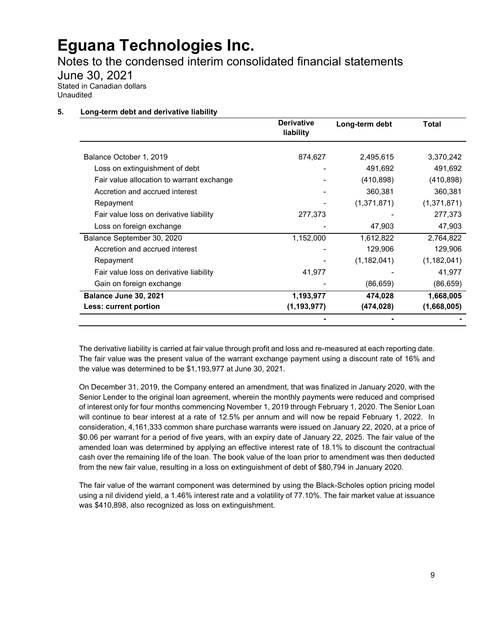Notes to the condensed interim consolidated financial statements

June 30, 2021 Stated in Canadian dollars

Unaudited

### **5. Long-term debt and derivative liability**

|                                           | <b>Derivative</b><br>liability | Long-term debt | Total         |
|-------------------------------------------|--------------------------------|----------------|---------------|
| Balance October 1, 2019                   | 874,627                        | 2,495,615      | 3,370,242     |
| Loss on extinguishment of debt            |                                | 491,692        | 491,692       |
| Fair value allocation to warrant exchange |                                | (410, 898)     | (410, 898)    |
| Accretion and accrued interest            |                                | 360,381        | 360,381       |
| Repayment                                 |                                | (1,371,871)    | (1,371,871)   |
| Fair value loss on derivative liability   | 277,373                        |                | 277,373       |
| Loss on foreign exchange                  |                                | 47,903         | 47,903        |
| Balance September 30, 2020                | 1,152,000                      | 1,612,822      | 2,764,822     |
| Accretion and accrued interest            |                                | 129,906        | 129,906       |
| Repayment                                 |                                | (1, 182, 041)  | (1, 182, 041) |
| Fair value loss on derivative liability   | 41,977                         |                | 41,977        |
| Gain on foreign exchange                  |                                | (86, 659)      | (86, 659)     |
| Balance June 30, 2021                     | 1,193,977                      | 474,028        | 1,668,005     |
| Less: current portion                     | (1, 193, 977)                  | (474, 028)     | (1,668,005)   |
|                                           |                                |                |               |

The derivative liability is carried at fair value through profit and loss and re-measured at each reporting date. The fair value was the present value of the warrant exchange payment using a discount rate of 16% and the value was determined to be \$1,193,977 at June 30, 2021.

On December 31, 2019, the Company entered an amendment, that was finalized in January 2020, with the Senior Lender to the original loan agreement, wherein the monthly payments were reduced and comprised of interest only for four months commencing November 1, 2019 through February 1, 2020. The Senior Loan will continue to bear interest at a rate of 12.5% per annum and will now be repaid February 1, 2022. In consideration, 4,161,333 common share purchase warrants were issued on January 22, 2020, at a price of \$0.06 per warrant for a period of five years, with an expiry date of January 22, 2025. The fair value of the amended loan was determined by applying an effective interest rate of 18.1% to discount the contractual cash over the remaining life of the loan. The book value of the loan prior to amendment was then deducted from the new fair value, resulting in a loss on extinguishment of debt of \$80,794 in January 2020.

The fair value of the warrant component was determined by using the Black-Scholes option pricing model using a nil dividend yield, a 1.46% interest rate and a volatility of 77.10%. The fair market value at issuance was \$410,898, also recognized as loss on extinguishment.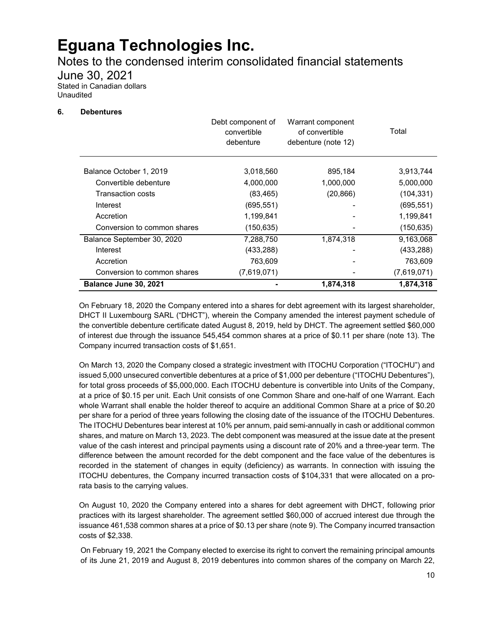Notes to the condensed interim consolidated financial statements

June 30, 2021

Stated in Canadian dollars Unaudited

### **6. Debentures**

|                             | Debt component of<br>convertible<br>debenture | Warrant component<br>of convertible<br>debenture (note 12) | Total       |
|-----------------------------|-----------------------------------------------|------------------------------------------------------------|-------------|
| Balance October 1, 2019     | 3,018,560                                     | 895,184                                                    | 3,913,744   |
| Convertible debenture       | 4,000,000                                     | 1,000,000                                                  | 5,000,000   |
| Transaction costs           | (83, 465)                                     | (20, 866)                                                  | (104, 331)  |
| Interest                    | (695, 551)                                    |                                                            | (695, 551)  |
| Accretion                   | 1,199,841                                     |                                                            | 1,199,841   |
| Conversion to common shares | (150, 635)                                    |                                                            | (150, 635)  |
| Balance September 30, 2020  | 7,288,750                                     | 1,874,318                                                  | 9,163,068   |
| Interest                    | (433, 288)                                    |                                                            | (433, 288)  |
| Accretion                   | 763,609                                       |                                                            | 763,609     |
| Conversion to common shares | (7,619,071)                                   |                                                            | (7,619,071) |
| Balance June 30, 2021       |                                               | 1,874,318                                                  | 1,874,318   |

On February 18, 2020 the Company entered into a shares for debt agreement with its largest shareholder, DHCT II Luxembourg SARL ("DHCT"), wherein the Company amended the interest payment schedule of the convertible debenture certificate dated August 8, 2019, held by DHCT. The agreement settled \$60,000 of interest due through the issuance 545,454 common shares at a price of \$0.11 per share (note 13). The Company incurred transaction costs of \$1,651.

On March 13, 2020 the Company closed a strategic investment with ITOCHU Corporation ("ITOCHU") and issued 5,000 unsecured convertible debentures at a price of \$1,000 per debenture ("ITOCHU Debentures"), for total gross proceeds of \$5,000,000. Each ITOCHU debenture is convertible into Units of the Company, at a price of \$0.15 per unit. Each Unit consists of one Common Share and one-half of one Warrant. Each whole Warrant shall enable the holder thereof to acquire an additional Common Share at a price of \$0.20 per share for a period of three years following the closing date of the issuance of the ITOCHU Debentures. The ITOCHU Debentures bear interest at 10% per annum, paid semi-annually in cash or additional common shares, and mature on March 13, 2023. The debt component was measured at the issue date at the present value of the cash interest and principal payments using a discount rate of 20% and a three-year term. The difference between the amount recorded for the debt component and the face value of the debentures is recorded in the statement of changes in equity (deficiency) as warrants. In connection with issuing the ITOCHU debentures, the Company incurred transaction costs of \$104,331 that were allocated on a prorata basis to the carrying values.

On August 10, 2020 the Company entered into a shares for debt agreement with DHCT, following prior practices with its largest shareholder. The agreement settled \$60,000 of accrued interest due through the issuance 461,538 common shares at a price of \$0.13 per share (note 9). The Company incurred transaction costs of \$2,338.

On February 19, 2021 the Company elected to exercise its right to convert the remaining principal amounts of its June 21, 2019 and August 8, 2019 debentures into common shares of the company on March 22,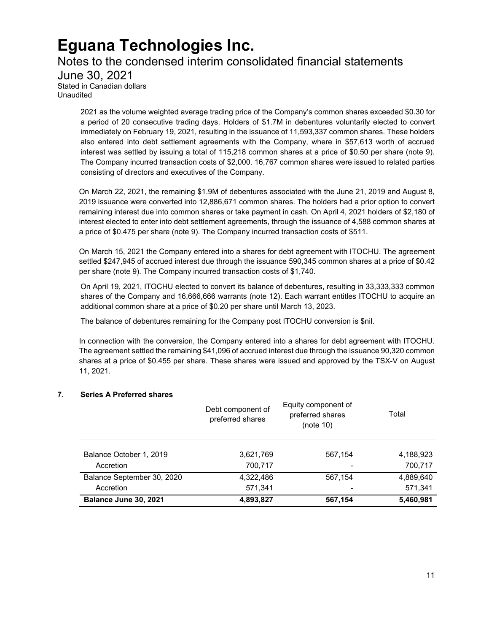### Notes to the condensed interim consolidated financial statements June 30, 2021 Stated in Canadian dollars Unaudited

2021 as the volume weighted average trading price of the Company's common shares exceeded \$0.30 for a period of 20 consecutive trading days. Holders of \$1.7M in debentures voluntarily elected to convert immediately on February 19, 2021, resulting in the issuance of 11,593,337 common shares. These holders also entered into debt settlement agreements with the Company, where in \$57,613 worth of accrued interest was settled by issuing a total of 115,218 common shares at a price of \$0.50 per share (note 9). The Company incurred transaction costs of \$2,000. 16,767 common shares were issued to related parties consisting of directors and executives of the Company.

On March 22, 2021, the remaining \$1.9M of debentures associated with the June 21, 2019 and August 8, 2019 issuance were converted into 12,886,671 common shares. The holders had a prior option to convert remaining interest due into common shares or take payment in cash. On April 4, 2021 holders of \$2,180 of interest elected to enter into debt settlement agreements, through the issuance of 4,588 common shares at a price of \$0.475 per share (note 9). The Company incurred transaction costs of \$511.

On March 15, 2021 the Company entered into a shares for debt agreement with ITOCHU. The agreement settled \$247,945 of accrued interest due through the issuance 590,345 common shares at a price of \$0.42 per share (note 9). The Company incurred transaction costs of \$1,740.

On April 19, 2021, ITOCHU elected to convert its balance of debentures, resulting in 33,333,333 common shares of the Company and 16,666,666 warrants (note 12). Each warrant entitles ITOCHU to acquire an additional common share at a price of \$0.20 per share until March 13, 2023.

The balance of debentures remaining for the Company post ITOCHU conversion is \$nil.

In connection with the conversion, the Company entered into a shares for debt agreement with ITOCHU. The agreement settled the remaining \$41,096 of accrued interest due through the issuance 90,320 common shares at a price of \$0.455 per share. These shares were issued and approved by the TSX-V on August 11, 2021.

### **7. Series A Preferred shares**

|                            | Debt component of<br>preferred shares | Equity component of<br>preferred shares<br>(note 10) | Total     |
|----------------------------|---------------------------------------|------------------------------------------------------|-----------|
| Balance October 1, 2019    | 3,621,769                             | 567,154                                              | 4,188,923 |
| Accretion                  | 700,717                               |                                                      | 700,717   |
| Balance September 30, 2020 | 4,322,486                             | 567,154                                              | 4,889,640 |
| Accretion                  | 571,341                               |                                                      | 571,341   |
| Balance June 30, 2021      | 4,893,827                             | 567,154                                              | 5,460,981 |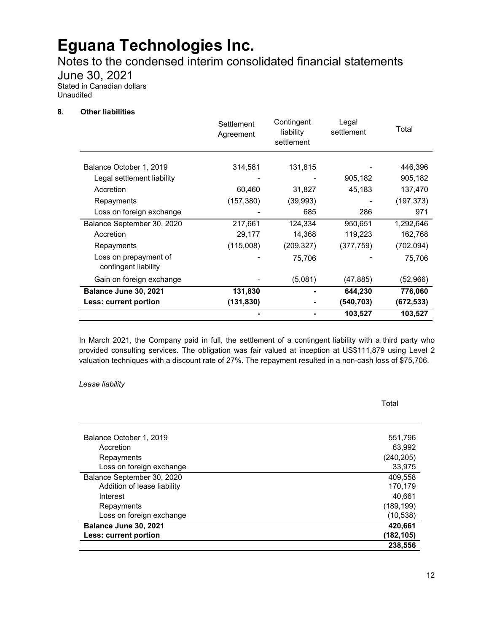Notes to the condensed interim consolidated financial statements

June 30, 2021

Stated in Canadian dollars Unaudited

#### **8. Other liabilities**

|                                               | Settlement<br>Agreement | Contingent<br>liability<br>settlement | Legal<br>settlement | Total      |
|-----------------------------------------------|-------------------------|---------------------------------------|---------------------|------------|
| Balance October 1, 2019                       | 314,581                 | 131,815                               |                     | 446,396    |
| Legal settlement liability                    |                         |                                       | 905,182             | 905,182    |
| Accretion                                     | 60,460                  | 31,827                                | 45,183              | 137,470    |
| Repayments                                    | (157, 380)              | (39, 993)                             |                     | (197, 373) |
| Loss on foreign exchange                      |                         | 685                                   | 286                 | 971        |
| Balance September 30, 2020                    | 217,661                 | 124,334                               | 950,651             | 1,292,646  |
| Accretion                                     | 29,177                  | 14,368                                | 119,223             | 162,768    |
| Repayments                                    | (115,008)               | (209,327)                             | (377, 759)          | (702, 094) |
| Loss on prepayment of<br>contingent liability |                         | 75,706                                |                     | 75,706     |
| Gain on foreign exchange                      |                         | (5,081)                               | (47, 885)           | (52,966)   |
| Balance June 30, 2021                         | 131,830                 |                                       | 644,230             | 776,060    |
| Less: current portion                         | (131, 830)              |                                       | (540, 703)          | (672, 533) |
|                                               |                         |                                       | 103,527             | 103,527    |

In March 2021, the Company paid in full, the settlement of a contingent liability with a third party who provided consulting services. The obligation was fair valued at inception at US\$111,879 using Level 2 valuation techniques with a discount rate of 27%. The repayment resulted in a non-cash loss of \$75,706.

#### *Lease liability*

Balance October 1, 2019 **Figure 1, 2019** 551,796 Accretion 63,992 Repayments (240,205) Loss on foreign exchange 33,975 Balance September 30, 2020 **409,558** and the september 30, 2020 Addition of lease liability and the control of the control of the control of the control of the control of the control of the control of the control of the control of the control of the control of the control of the contro Interest 40,661 Repayments (189,199) Loss on foreign exchange (10,538) **Balance June 30, 2021 420,661 Less: current portion (182,105) 238,556**

Total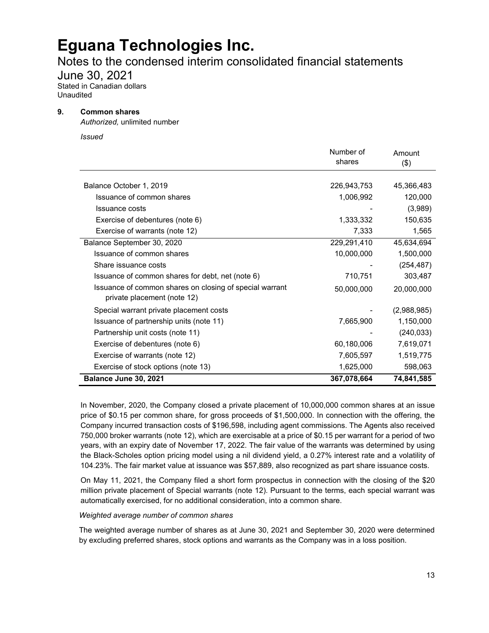### Notes to the condensed interim consolidated financial statements

June 30, 2021

Stated in Canadian dollars Unaudited

#### **9. Common shares**

*Authorized,* unlimited number

*Issued*

|                                                                                        | Number of<br>shares | Amount<br>$($ \$) |
|----------------------------------------------------------------------------------------|---------------------|-------------------|
|                                                                                        |                     |                   |
| Balance October 1, 2019                                                                | 226,943,753         | 45,366,483        |
| Issuance of common shares                                                              | 1,006,992           | 120,000           |
| Issuance costs                                                                         |                     | (3,989)           |
| Exercise of debentures (note 6)                                                        | 1,333,332           | 150,635           |
| Exercise of warrants (note 12)                                                         | 7,333               | 1,565             |
| Balance September 30, 2020                                                             | 229,291,410         | 45,634,694        |
| Issuance of common shares                                                              | 10,000,000          | 1,500,000         |
| Share issuance costs                                                                   |                     | (254, 487)        |
| Issuance of common shares for debt, net (note 6)                                       | 710,751             | 303,487           |
| Issuance of common shares on closing of special warrant<br>private placement (note 12) | 50,000,000          | 20,000,000        |
| Special warrant private placement costs                                                |                     | (2,988,985)       |
| Issuance of partnership units (note 11)                                                | 7,665,900           | 1,150,000         |
| Partnership unit costs (note 11)                                                       |                     | (240, 033)        |
| Exercise of debentures (note 6)                                                        | 60,180,006          | 7,619,071         |
| Exercise of warrants (note 12)                                                         | 7,605,597           | 1,519,775         |
| Exercise of stock options (note 13)                                                    | 1,625,000           | 598,063           |
| Balance June 30, 2021                                                                  | 367,078,664         | 74,841,585        |

In November, 2020, the Company closed a private placement of 10,000,000 common shares at an issue price of \$0.15 per common share, for gross proceeds of \$1,500,000. In connection with the offering, the Company incurred transaction costs of \$196,598, including agent commissions. The Agents also received 750,000 broker warrants (note 12), which are exercisable at a price of \$0.15 per warrant for a period of two years, with an expiry date of November 17, 2022. The fair value of the warrants was determined by using the Black-Scholes option pricing model using a nil dividend yield, a 0.27% interest rate and a volatility of 104.23%. The fair market value at issuance was \$57,889, also recognized as part share issuance costs.

On May 11, 2021, the Company filed a short form prospectus in connection with the closing of the \$20 million private placement of Special warrants (note 12). Pursuant to the terms, each special warrant was automatically exercised, for no additional consideration, into a common share.

#### *Weighted average number of common shares*

The weighted average number of shares as at June 30, 2021 and September 30, 2020 were determined by excluding preferred shares, stock options and warrants as the Company was in a loss position.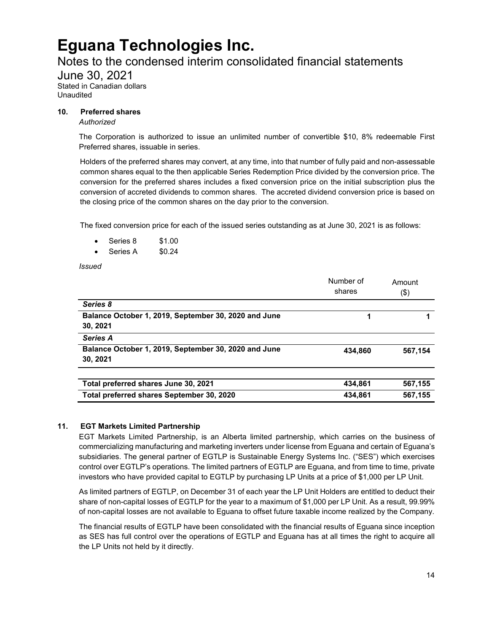### Notes to the condensed interim consolidated financial statements

June 30, 2021 Stated in Canadian dollars Unaudited

#### **10. Preferred shares**

#### *Authorized*

The Corporation is authorized to issue an unlimited number of convertible \$10, 8% redeemable First Preferred shares, issuable in series.

Holders of the preferred shares may convert, at any time, into that number of fully paid and non-assessable common shares equal to the then applicable Series Redemption Price divided by the conversion price. The conversion for the preferred shares includes a fixed conversion price on the initial subscription plus the conversion of accreted dividends to common shares. The accreted dividend conversion price is based on the closing price of the common shares on the day prior to the conversion.

The fixed conversion price for each of the issued series outstanding as at June 30, 2021 is as follows:

- Series 8 \$1.00
- Series A \$0.24

*Issued*

|                                                                  | Number of<br>shares | Amount<br>(\$) |
|------------------------------------------------------------------|---------------------|----------------|
| Series 8                                                         |                     |                |
| Balance October 1, 2019, September 30, 2020 and June<br>30, 2021 | 1                   |                |
| <b>Series A</b>                                                  |                     |                |
| Balance October 1, 2019, September 30, 2020 and June<br>30, 2021 | 434.860             | 567,154        |
|                                                                  |                     |                |
| Total preferred shares June 30, 2021                             | 434.861             | 567,155        |
| Total preferred shares September 30, 2020                        | 434,861             | 567,155        |

### **11. EGT Markets Limited Partnership**

EGT Markets Limited Partnership, is an Alberta limited partnership, which carries on the business of commercializing manufacturing and marketing inverters under license from Eguana and certain of Eguana's subsidiaries. The general partner of EGTLP is Sustainable Energy Systems Inc. ("SES") which exercises control over EGTLP's operations. The limited partners of EGTLP are Eguana, and from time to time, private investors who have provided capital to EGTLP by purchasing LP Units at a price of \$1,000 per LP Unit.

As limited partners of EGTLP, on December 31 of each year the LP Unit Holders are entitled to deduct their share of non-capital losses of EGTLP for the year to a maximum of \$1,000 per LP Unit. As a result, 99.99% of non-capital losses are not available to Eguana to offset future taxable income realized by the Company.

The financial results of EGTLP have been consolidated with the financial results of Eguana since inception as SES has full control over the operations of EGTLP and Eguana has at all times the right to acquire all the LP Units not held by it directly.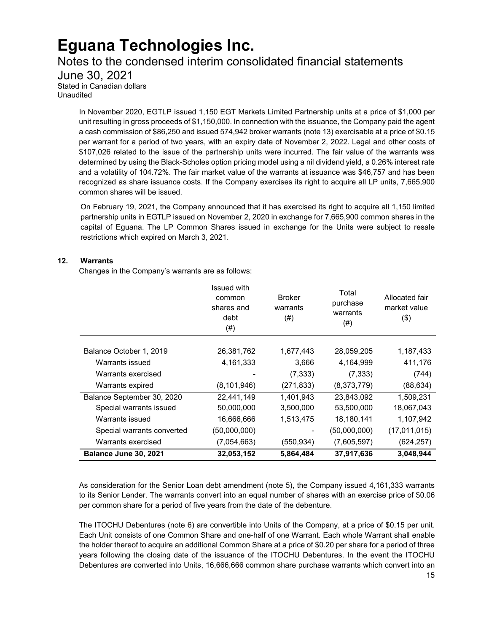### Notes to the condensed interim consolidated financial statements

June 30, 2021

Stated in Canadian dollars Unaudited

> In November 2020, EGTLP issued 1,150 EGT Markets Limited Partnership units at a price of \$1,000 per unit resulting in gross proceeds of \$1,150,000. In connection with the issuance, the Company paid the agent a cash commission of \$86,250 and issued 574,942 broker warrants (note 13) exercisable at a price of \$0.15 per warrant for a period of two years, with an expiry date of November 2, 2022. Legal and other costs of \$107,026 related to the issue of the partnership units were incurred. The fair value of the warrants was determined by using the Black-Scholes option pricing model using a nil dividend yield, a 0.26% interest rate and a volatility of 104.72%. The fair market value of the warrants at issuance was \$46,757 and has been recognized as share issuance costs. If the Company exercises its right to acquire all LP units, 7,665,900 common shares will be issued.

> On February 19, 2021, the Company announced that it has exercised its right to acquire all 1,150 limited partnership units in EGTLP issued on November 2, 2020 in exchange for 7,665,900 common shares in the capital of Eguana. The LP Common Shares issued in exchange for the Units were subject to resale restrictions which expired on March 3, 2021.

### **12. Warrants**

Changes in the Company's warrants are as follows:

|                            | Issued with<br>common<br>shares and<br>debt<br>$^{(#)}$ | <b>Broker</b><br>warrants<br>(# ) | Total<br>purchase<br>warrants<br>(# ) | Allocated fair<br>market value<br>$($ \$) |
|----------------------------|---------------------------------------------------------|-----------------------------------|---------------------------------------|-------------------------------------------|
| Balance October 1, 2019    | 26,381,762                                              | 1,677,443                         | 28,059,205                            | 1,187,433                                 |
| Warrants issued            | 4, 161, 333                                             | 3,666                             | 4,164,999                             | 411,176                                   |
| Warrants exercised         |                                                         | (7, 333)                          | (7, 333)                              | (744)                                     |
| Warrants expired           | (8, 101, 946)                                           | (271, 833)                        | (8,373,779)                           | (88, 634)                                 |
| Balance September 30, 2020 | 22,441,149                                              | 1,401,943                         | 23,843,092                            | 1,509,231                                 |
| Special warrants issued    | 50,000,000                                              | 3,500,000                         | 53,500,000                            | 18,067,043                                |
| Warrants issued            | 16,666,666                                              | 1,513,475                         | 18,180,141                            | 1,107,942                                 |
| Special warrants converted | (50,000,000)                                            |                                   | (50,000,000)                          | (17,011,015)                              |
| Warrants exercised         | (7,054,663)                                             | (550, 934)                        | (7,605,597)                           | (624, 257)                                |
| Balance June 30, 2021      | 32,053,152                                              | 5,864,484                         | 37,917,636                            | 3,048,944                                 |

As consideration for the Senior Loan debt amendment (note 5), the Company issued 4,161,333 warrants to its Senior Lender. The warrants convert into an equal number of shares with an exercise price of \$0.06 per common share for a period of five years from the date of the debenture.

The ITOCHU Debentures (note 6) are convertible into Units of the Company, at a price of \$0.15 per unit. Each Unit consists of one Common Share and one-half of one Warrant. Each whole Warrant shall enable the holder thereof to acquire an additional Common Share at a price of \$0.20 per share for a period of three years following the closing date of the issuance of the ITOCHU Debentures. In the event the ITOCHU Debentures are converted into Units, 16,666,666 common share purchase warrants which convert into an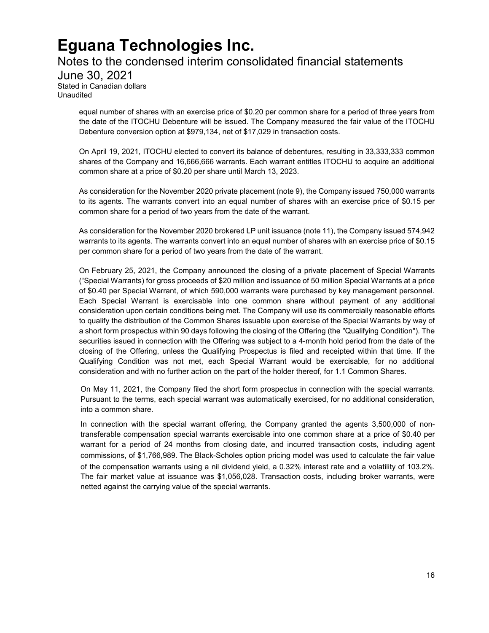### Notes to the condensed interim consolidated financial statements

June 30, 2021 Stated in Canadian dollars Unaudited

> equal number of shares with an exercise price of \$0.20 per common share for a period of three years from the date of the ITOCHU Debenture will be issued. The Company measured the fair value of the ITOCHU Debenture conversion option at \$979,134, net of \$17,029 in transaction costs.

> On April 19, 2021, ITOCHU elected to convert its balance of debentures, resulting in 33,333,333 common shares of the Company and 16,666,666 warrants. Each warrant entitles ITOCHU to acquire an additional common share at a price of \$0.20 per share until March 13, 2023.

> As consideration for the November 2020 private placement (note 9), the Company issued 750,000 warrants to its agents. The warrants convert into an equal number of shares with an exercise price of \$0.15 per common share for a period of two years from the date of the warrant.

> As consideration for the November 2020 brokered LP unit issuance (note 11), the Company issued 574,942 warrants to its agents. The warrants convert into an equal number of shares with an exercise price of \$0.15 per common share for a period of two years from the date of the warrant.

> On February 25, 2021, the Company announced the closing of a private placement of Special Warrants ("Special Warrants) for gross proceeds of \$20 million and issuance of 50 million Special Warrants at a price of \$0.40 per Special Warrant, of which 590,000 warrants were purchased by key management personnel. Each Special Warrant is exercisable into one common share without payment of any additional consideration upon certain conditions being met. The Company will use its commercially reasonable efforts to qualify the distribution of the Common Shares issuable upon exercise of the Special Warrants by way of a short form prospectus within 90 days following the closing of the Offering (the "Qualifying Condition"). The securities issued in connection with the Offering was subject to a 4‐month hold period from the date of the closing of the Offering, unless the Qualifying Prospectus is filed and receipted within that time. If the Qualifying Condition was not met, each Special Warrant would be exercisable, for no additional consideration and with no further action on the part of the holder thereof, for 1.1 Common Shares.

> On May 11, 2021, the Company filed the short form prospectus in connection with the special warrants. Pursuant to the terms, each special warrant was automatically exercised, for no additional consideration, into a common share.

> In connection with the special warrant offering, the Company granted the agents 3,500,000 of nontransferable compensation special warrants exercisable into one common share at a price of \$0.40 per warrant for a period of 24 months from closing date, and incurred transaction costs, including agent commissions, of \$1,766,989. The Black-Scholes option pricing model was used to calculate the fair value of the compensation warrants using a nil dividend yield, a 0.32% interest rate and a volatility of 103.2%. The fair market value at issuance was \$1,056,028. Transaction costs, including broker warrants, were netted against the carrying value of the special warrants.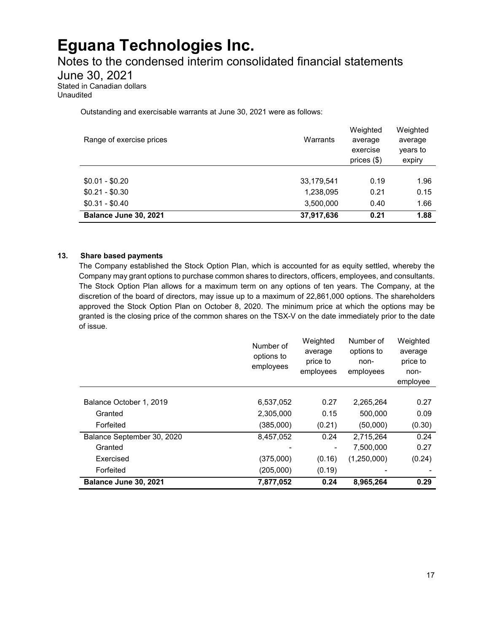Notes to the condensed interim consolidated financial statements

June 30, 2021

Stated in Canadian dollars Unaudited

Outstanding and exercisable warrants at June 30, 2021 were as follows:

| Range of exercise prices | Warrants   | Weighted<br>average<br>exercise<br>prices $(\$)$ | Weighted<br>average<br>years to<br>expiry |
|--------------------------|------------|--------------------------------------------------|-------------------------------------------|
| $$0.01 - $0.20$          | 33,179,541 | 0.19                                             | 1.96                                      |
| $$0.21 - $0.30$          | 1,238,095  | 0.21                                             | 0.15                                      |
| $$0.31 - $0.40$          | 3,500,000  | 0.40                                             | 1.66                                      |
| Balance June 30, 2021    | 37,917,636 | 0.21                                             | 1.88                                      |

#### **13. Share based payments**

The Company established the Stock Option Plan, which is accounted for as equity settled, whereby the Company may grant options to purchase common shares to directors, officers, employees, and consultants. The Stock Option Plan allows for a maximum term on any options of ten years. The Company, at the discretion of the board of directors, may issue up to a maximum of 22,861,000 options. The shareholders approved the Stock Option Plan on October 8, 2020. The minimum price at which the options may be granted is the closing price of the common shares on the TSX-V on the date immediately prior to the date of issue.

|                            | Number of<br>options to<br>employees | Weighted<br>average<br>price to<br>employees | Number of<br>options to<br>non-<br>employees | Weighted<br>average<br>price to<br>non-<br>employee |
|----------------------------|--------------------------------------|----------------------------------------------|----------------------------------------------|-----------------------------------------------------|
|                            |                                      |                                              |                                              |                                                     |
| Balance October 1, 2019    | 6,537,052                            | 0.27                                         | 2,265,264                                    | 0.27                                                |
| Granted                    | 2,305,000                            | 0.15                                         | 500,000                                      | 0.09                                                |
| Forfeited                  | (385,000)                            | (0.21)                                       | (50,000)                                     | (0.30)                                              |
| Balance September 30, 2020 | 8,457,052                            | 0.24                                         | 2,715,264                                    | 0.24                                                |
| Granted                    |                                      |                                              | 7,500,000                                    | 0.27                                                |
| Exercised                  | (375,000)                            | (0.16)                                       | (1,250,000)                                  | (0.24)                                              |
| Forfeited                  | (205,000)                            | (0.19)                                       |                                              |                                                     |
| Balance June 30, 2021      | 7,877,052                            | 0.24                                         | 8,965,264                                    | 0.29                                                |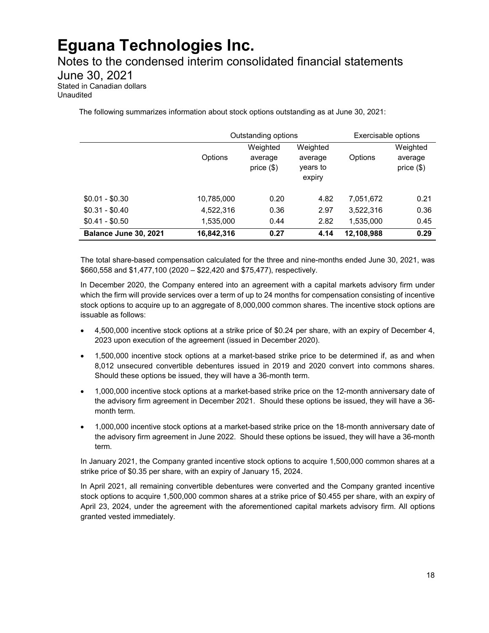Notes to the condensed interim consolidated financial statements June 30, 2021 Stated in Canadian dollars Unaudited

The following summarizes information about stock options outstanding as at June 30, 2021:

|                       | Outstanding options |                                     |                                           | Exercisable options |                                     |
|-----------------------|---------------------|-------------------------------------|-------------------------------------------|---------------------|-------------------------------------|
|                       | Options             | Weighted<br>average<br>price $(\$)$ | Weighted<br>average<br>years to<br>expiry | Options             | Weighted<br>average<br>price $(\$)$ |
| $$0.01 - $0.30$       | 10,785,000          | 0.20                                | 4.82                                      | 7.051.672           | 0.21                                |
| $$0.31 - $0.40$       | 4,522,316           | 0.36                                | 2.97                                      | 3,522,316           | 0.36                                |
| $$0.41 - $0.50$       | 1,535,000           | 0.44                                | 2.82                                      | 1,535,000           | 0.45                                |
| Balance June 30, 2021 | 16,842,316          | 0.27                                | 4.14                                      | 12,108,988          | 0.29                                |

The total share-based compensation calculated for the three and nine-months ended June 30, 2021, was \$660,558 and \$1,477,100 (2020 – \$22,420 and \$75,477), respectively.

In December 2020, the Company entered into an agreement with a capital markets advisory firm under which the firm will provide services over a term of up to 24 months for compensation consisting of incentive stock options to acquire up to an aggregate of 8,000,000 common shares. The incentive stock options are issuable as follows:

- 4,500,000 incentive stock options at a strike price of \$0.24 per share, with an expiry of December 4, 2023 upon execution of the agreement (issued in December 2020).
- 1,500,000 incentive stock options at a market-based strike price to be determined if, as and when 8,012 unsecured convertible debentures issued in 2019 and 2020 convert into commons shares. Should these options be issued, they will have a 36-month term.
- 1,000,000 incentive stock options at a market-based strike price on the 12-month anniversary date of the advisory firm agreement in December 2021. Should these options be issued, they will have a 36 month term.
- 1,000,000 incentive stock options at a market-based strike price on the 18-month anniversary date of the advisory firm agreement in June 2022. Should these options be issued, they will have a 36-month term.

In January 2021, the Company granted incentive stock options to acquire 1,500,000 common shares at a strike price of \$0.35 per share, with an expiry of January 15, 2024.

In April 2021, all remaining convertible debentures were converted and the Company granted incentive stock options to acquire 1,500,000 common shares at a strike price of \$0.455 per share, with an expiry of April 23, 2024, under the agreement with the aforementioned capital markets advisory firm. All options granted vested immediately.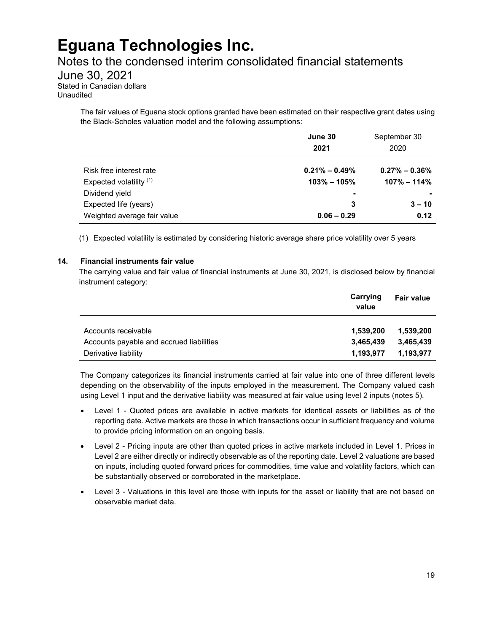### Notes to the condensed interim consolidated financial statements

June 30, 2021

Stated in Canadian dollars Unaudited

> The fair values of Eguana stock options granted have been estimated on their respective grant dates using the Black-Scholes valuation model and the following assumptions:

|                             | June 30           | September 30      |
|-----------------------------|-------------------|-------------------|
|                             | 2021              | 2020              |
|                             |                   |                   |
| Risk free interest rate     | $0.21\% - 0.49\%$ | $0.27\% - 0.36\%$ |
| Expected volatility (1)     | $103\% - 105\%$   | $107\% - 114\%$   |
| Dividend yield              | ٠                 | ۰                 |
| Expected life (years)       | 3                 | $3 - 10$          |
| Weighted average fair value | $0.06 - 0.29$     | 0.12              |

(1) Expected volatility is estimated by considering historic average share price volatility over 5 years

#### **14. Financial instruments fair value**

The carrying value and fair value of financial instruments at June 30, 2021, is disclosed below by financial instrument category:

|                                          | Carrying<br>value | Fair value |
|------------------------------------------|-------------------|------------|
| Accounts receivable                      | 1,539,200         | 1,539,200  |
| Accounts payable and accrued liabilities | 3,465,439         | 3.465.439  |
| Derivative liability                     | 1,193,977         | 1,193,977  |

The Company categorizes its financial instruments carried at fair value into one of three different levels depending on the observability of the inputs employed in the measurement. The Company valued cash using Level 1 input and the derivative liability was measured at fair value using level 2 inputs (notes 5).

- Level 1 Quoted prices are available in active markets for identical assets or liabilities as of the reporting date. Active markets are those in which transactions occur in sufficient frequency and volume to provide pricing information on an ongoing basis.
- Level 2 Pricing inputs are other than quoted prices in active markets included in Level 1. Prices in Level 2 are either directly or indirectly observable as of the reporting date. Level 2 valuations are based on inputs, including quoted forward prices for commodities, time value and volatility factors, which can be substantially observed or corroborated in the marketplace.
- Level 3 Valuations in this level are those with inputs for the asset or liability that are not based on observable market data.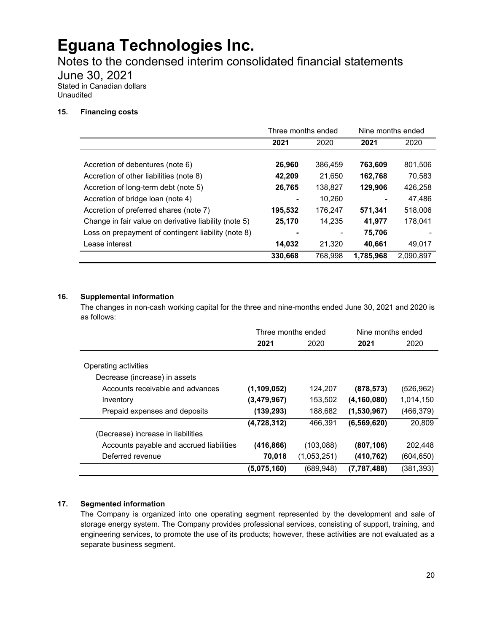Notes to the condensed interim consolidated financial statements

June 30, 2021

Stated in Canadian dollars Unaudited

### **15. Financing costs**

|                                                       | Three months ended |         | Nine months ended |           |
|-------------------------------------------------------|--------------------|---------|-------------------|-----------|
|                                                       | 2021               | 2020    | 2021              | 2020      |
|                                                       |                    |         |                   |           |
| Accretion of debentures (note 6)                      | 26,960             | 386,459 | 763,609           | 801,506   |
| Accretion of other liabilities (note 8)               | 42,209             | 21.650  | 162,768           | 70,583    |
| Accretion of long-term debt (note 5)                  | 26,765             | 138,827 | 129.906           | 426.258   |
| Accretion of bridge loan (note 4)                     |                    | 10,260  |                   | 47,486    |
| Accretion of preferred shares (note 7)                | 195,532            | 176,247 | 571,341           | 518,006   |
| Change in fair value on derivative liability (note 5) | 25,170             | 14.235  | 41,977            | 178.041   |
| Loss on prepayment of contingent liability (note 8)   |                    |         | 75,706            |           |
| Lease interest                                        | 14,032             | 21,320  | 40,661            | 49,017    |
|                                                       | 330,668            | 768,998 | 1,785,968         | 2,090,897 |

### **16. Supplemental information**

The changes in non-cash working capital for the three and nine-months ended June 30, 2021 and 2020 is as follows:

|                                          | Three months ended |             | Nine months ended |            |
|------------------------------------------|--------------------|-------------|-------------------|------------|
|                                          | 2021               | 2020        | 2021              | 2020       |
|                                          |                    |             |                   |            |
| Operating activities                     |                    |             |                   |            |
| Decrease (increase) in assets            |                    |             |                   |            |
| Accounts receivable and advances         | (1,109,052)        | 124,207     | (878,573)         | (526, 962) |
| Inventory                                | (3,479,967)        | 153,502     | (4, 160, 080)     | 1,014,150  |
| Prepaid expenses and deposits            | (139,293)          | 188,682     | (1,530,967)       | (466,379)  |
|                                          | (4,728,312)        | 466,391     | (6, 569, 620)     | 20,809     |
| (Decrease) increase in liabilities       |                    |             |                   |            |
| Accounts payable and accrued liabilities | (416, 866)         | (103,088)   | (807,106)         | 202,448    |
| Deferred revenue                         | 70,018             | (1,053,251) | (410,762)         | (604, 650) |
|                                          | (5,075,160)        | (689, 948)  | (7,787,488)       | (381,393)  |

### **17. Segmented information**

The Company is organized into one operating segment represented by the development and sale of storage energy system. The Company provides professional services, consisting of support, training, and engineering services, to promote the use of its products; however, these activities are not evaluated as a separate business segment.